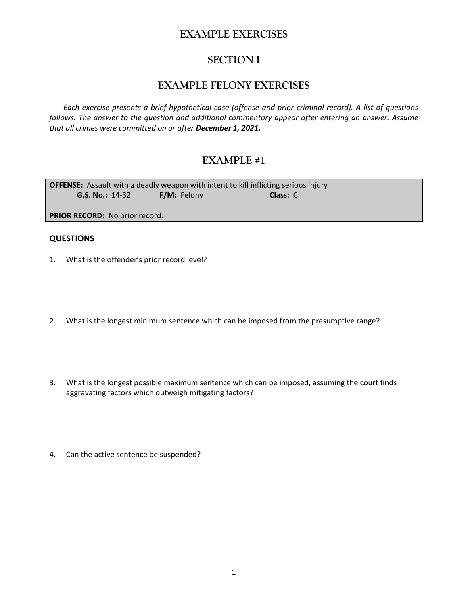## **EXAMPLE EXERCISES**

## **SECTION I**

## **EXAMPLE FELONY EXERCISES**

*Each exercise presents a brief hypothetical case (offense and prior criminal record). A list of questions follows. The answer to the question and additional commentary appear after entering an answer. Assume that all crimes were committed on or after December 1, 2021.*

# **EXAMPLE #1**

**OFFENSE:** Assault with a deadly weapon with intent to kill inflicting serious injury **G.S. No.:** 14-32 **F/M:** Felony **Class:** C

**PRIOR RECORD:** No prior record.

- 1. What is the offender's prior record level?
- 2. What is the longest minimum sentence which can be imposed from the presumptive range?
- 3. What is the longest possible maximum sentence which can be imposed, assuming the court finds aggravating factors which outweigh mitigating factors?
- 4. Can the active sentence be suspended?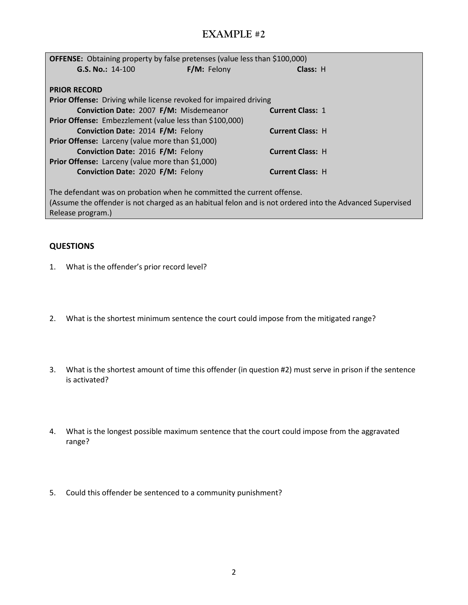| <b>OFFENSE:</b> Obtaining property by false pretenses (value less than \$100,000)                        |             |                         |  |  |  |
|----------------------------------------------------------------------------------------------------------|-------------|-------------------------|--|--|--|
| $G.S. No.: 14-100$                                                                                       | F/M: Felony | Class: H                |  |  |  |
|                                                                                                          |             |                         |  |  |  |
| <b>PRIOR RECORD</b>                                                                                      |             |                         |  |  |  |
| <b>Prior Offense:</b> Driving while license revoked for impaired driving                                 |             |                         |  |  |  |
| Conviction Date: 2007 F/M: Misdemeanor                                                                   |             | <b>Current Class: 1</b> |  |  |  |
| <b>Prior Offense:</b> Embezzlement (value less than \$100,000)                                           |             |                         |  |  |  |
| Conviction Date: 2014 F/M: Felony                                                                        |             | <b>Current Class: H</b> |  |  |  |
| <b>Prior Offense:</b> Larceny (value more than \$1,000)                                                  |             |                         |  |  |  |
| Conviction Date: 2016 F/M: Felony                                                                        |             | <b>Current Class: H</b> |  |  |  |
| <b>Prior Offense:</b> Larceny (value more than \$1,000)                                                  |             |                         |  |  |  |
| Conviction Date: 2020 F/M: Felony                                                                        |             | <b>Current Class: H</b> |  |  |  |
|                                                                                                          |             |                         |  |  |  |
| The defendant was on probation when he committed the current offense.                                    |             |                         |  |  |  |
| (Assume the offender is not charged as an habitual felon and is not ordered into the Advanced Supervised |             |                         |  |  |  |
| Release program.)                                                                                        |             |                         |  |  |  |

- 1. What is the offender's prior record level?
- 2. What is the shortest minimum sentence the court could impose from the mitigated range?
- 3. What is the shortest amount of time this offender (in question #2) must serve in prison if the sentence is activated?
- 4. What is the longest possible maximum sentence that the court could impose from the aggravated range?
- 5. Could this offender be sentenced to a community punishment?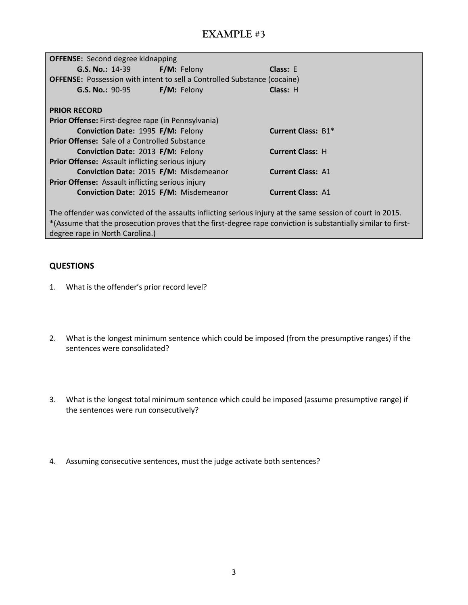| <b>OFFENSE:</b> Second degree kidnapping                                        |                          |                          |  |  |  |
|---------------------------------------------------------------------------------|--------------------------|--------------------------|--|--|--|
| <b>G.S. No.: 14-39</b>                                                          | F/M: Felony              | Class: E                 |  |  |  |
| <b>OFFENSE:</b> Possession with intent to sell a Controlled Substance (cocaine) |                          |                          |  |  |  |
| $G.S. No.: 90-95$                                                               | <b>F/M:</b> Felony       | Class: H                 |  |  |  |
|                                                                                 |                          |                          |  |  |  |
| <b>PRIOR RECORD</b>                                                             |                          |                          |  |  |  |
| Prior Offense: First-degree rape (in Pennsylvania)                              |                          |                          |  |  |  |
| Conviction Date: 1995 F/M: Felony                                               |                          | Current Class: B1*       |  |  |  |
| <b>Prior Offense:</b> Sale of a Controlled Substance                            |                          |                          |  |  |  |
| <b>Conviction Date: 2013 F/M: Felony</b>                                        |                          | <b>Current Class: H</b>  |  |  |  |
| <b>Prior Offense:</b> Assault inflicting serious injury                         |                          |                          |  |  |  |
| Conviction Date: 2015 F/M: Misdemeanor                                          | <b>Current Class: A1</b> |                          |  |  |  |
| <b>Prior Offense:</b> Assault inflicting serious injury                         |                          |                          |  |  |  |
| Conviction Date: 2015 F/M: Misdemeanor                                          |                          | <b>Current Class: A1</b> |  |  |  |
|                                                                                 |                          |                          |  |  |  |

The offender was convicted of the assaults inflicting serious injury at the same session of court in 2015. \*(Assume that the prosecution proves that the first-degree rape conviction is substantially similar to firstdegree rape in North Carolina.)

- 1. What is the offender's prior record level?
- 2. What is the longest minimum sentence which could be imposed (from the presumptive ranges) if the sentences were consolidated?
- 3. What is the longest total minimum sentence which could be imposed (assume presumptive range) if the sentences were run consecutively?
- 4. Assuming consecutive sentences, must the judge activate both sentences?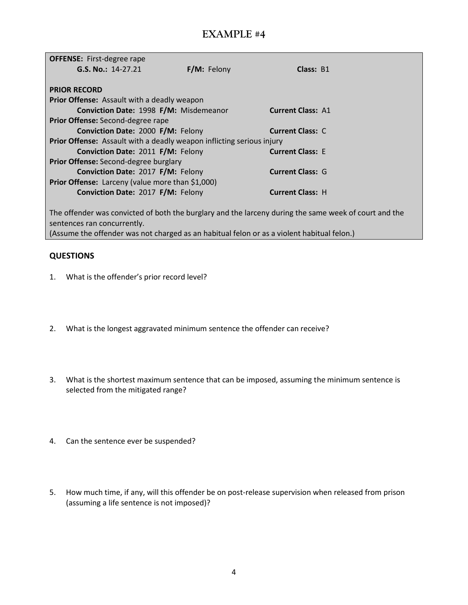| <b>OFFENSE:</b> First-degree rape                                                                                                    |             |                          |  |  |  |
|--------------------------------------------------------------------------------------------------------------------------------------|-------------|--------------------------|--|--|--|
| G.S. No.: 14-27.21                                                                                                                   | F/M: Felony | Class: B1                |  |  |  |
|                                                                                                                                      |             |                          |  |  |  |
| <b>PRIOR RECORD</b>                                                                                                                  |             |                          |  |  |  |
| <b>Prior Offense:</b> Assault with a deadly weapon                                                                                   |             |                          |  |  |  |
| Conviction Date: 1998 F/M: Misdemeanor                                                                                               |             | <b>Current Class: A1</b> |  |  |  |
| Prior Offense: Second-degree rape                                                                                                    |             |                          |  |  |  |
| Conviction Date: 2000 F/M: Felony                                                                                                    |             | <b>Current Class: C</b>  |  |  |  |
| Prior Offense: Assault with a deadly weapon inflicting serious injury                                                                |             |                          |  |  |  |
| Conviction Date: 2011 F/M: Felony                                                                                                    |             | <b>Current Class: E</b>  |  |  |  |
| Prior Offense: Second-degree burglary                                                                                                |             |                          |  |  |  |
| Conviction Date: 2017 F/M: Felony                                                                                                    |             | <b>Current Class: G</b>  |  |  |  |
| <b>Prior Offense:</b> Larceny (value more than \$1,000)                                                                              |             |                          |  |  |  |
| Conviction Date: 2017 F/M: Felony                                                                                                    |             | <b>Current Class: H</b>  |  |  |  |
|                                                                                                                                      |             |                          |  |  |  |
| The offender was convicted of both the burglary and the larceny during the same week of court and the<br>sentences ran concurrently. |             |                          |  |  |  |

(Assume the offender was not charged as an habitual felon or as a violent habitual felon.)

- 1. What is the offender's prior record level?
- 2. What is the longest aggravated minimum sentence the offender can receive?
- 3. What is the shortest maximum sentence that can be imposed, assuming the minimum sentence is selected from the mitigated range?
- 4. Can the sentence ever be suspended?
- 5. How much time, if any, will this offender be on post-release supervision when released from prison (assuming a life sentence is not imposed)?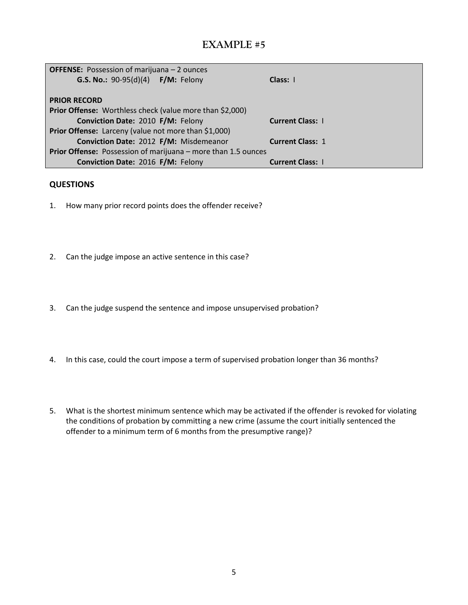| <b>OFFENSE:</b> Possession of marijuana – 2 ounces              |                         |  |  |  |
|-----------------------------------------------------------------|-------------------------|--|--|--|
| G.S. No.: 90-95(d)(4) F/M: Felony                               | Class: 1                |  |  |  |
|                                                                 |                         |  |  |  |
| <b>PRIOR RECORD</b>                                             |                         |  |  |  |
| <b>Prior Offense:</b> Worthless check (value more than \$2,000) |                         |  |  |  |
| Conviction Date: 2010 F/M: Felony                               | <b>Current Class: 1</b> |  |  |  |
| Prior Offense: Larceny (value not more than \$1,000)            |                         |  |  |  |
| Conviction Date: 2012 F/M: Misdemeanor                          | <b>Current Class: 1</b> |  |  |  |
| Prior Offense: Possession of marijuana – more than 1.5 ounces   |                         |  |  |  |
| Conviction Date: 2016 F/M: Felony                               | <b>Current Class: 1</b> |  |  |  |

- 1. How many prior record points does the offender receive?
- 2. Can the judge impose an active sentence in this case?
- 3. Can the judge suspend the sentence and impose unsupervised probation?
- 4. In this case, could the court impose a term of supervised probation longer than 36 months?
- 5. What is the shortest minimum sentence which may be activated if the offender is revoked for violating the conditions of probation by committing a new crime (assume the court initially sentenced the offender to a minimum term of 6 months from the presumptive range)?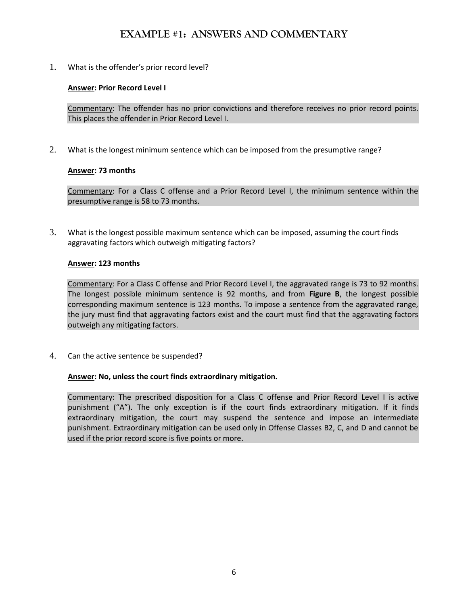## **EXAMPLE #1: ANSWERS AND COMMENTARY**

1. What is the offender's prior record level?

## **Answer: Prior Record Level I**

Commentary: The offender has no prior convictions and therefore receives no prior record points. This places the offender in Prior Record Level I.

2. What is the longest minimum sentence which can be imposed from the presumptive range?

## **Answer: 73 months**

Commentary: For a Class C offense and a Prior Record Level I, the minimum sentence within the presumptive range is 58 to 73 months.

3. What is the longest possible maximum sentence which can be imposed, assuming the court finds aggravating factors which outweigh mitigating factors?

## **Answer: 123 months**

Commentary: For a Class C offense and Prior Record Level I, the aggravated range is 73 to 92 months. The longest possible minimum sentence is 92 months, and from **Figure B**, the longest possible corresponding maximum sentence is 123 months. To impose a sentence from the aggravated range, the jury must find that aggravating factors exist and the court must find that the aggravating factors outweigh any mitigating factors.

4. Can the active sentence be suspended?

### **Answer: No, unless the court finds extraordinary mitigation.**

Commentary: The prescribed disposition for a Class C offense and Prior Record Level I is active punishment ("A"). The only exception is if the court finds extraordinary mitigation. If it finds extraordinary mitigation, the court may suspend the sentence and impose an intermediate punishment. Extraordinary mitigation can be used only in Offense Classes B2, C, and D and cannot be used if the prior record score is five points or more.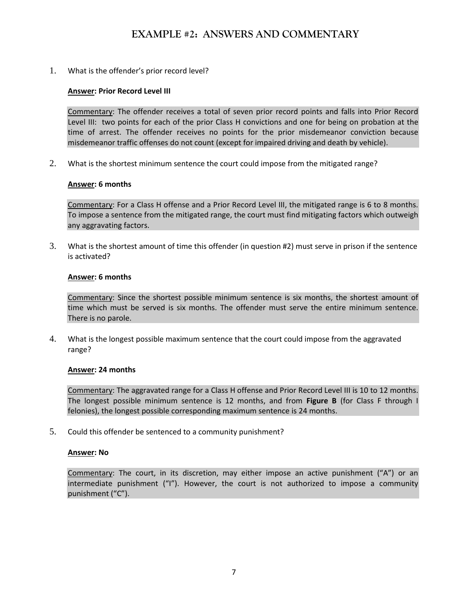## **EXAMPLE #2: ANSWERS AND COMMENTARY**

1. What is the offender's prior record level?

#### **Answer: Prior Record Level III**

Commentary: The offender receives a total of seven prior record points and falls into Prior Record Level III: two points for each of the prior Class H convictions and one for being on probation at the time of arrest. The offender receives no points for the prior misdemeanor conviction because misdemeanor traffic offenses do not count (except for impaired driving and death by vehicle).

2. What is the shortest minimum sentence the court could impose from the mitigated range?

#### **Answer: 6 months**

Commentary: For a Class H offense and a Prior Record Level III, the mitigated range is 6 to 8 months. To impose a sentence from the mitigated range, the court must find mitigating factors which outweigh any aggravating factors.

3. What is the shortest amount of time this offender (in question #2) must serve in prison if the sentence is activated?

#### **Answer: 6 months**

Commentary: Since the shortest possible minimum sentence is six months, the shortest amount of time which must be served is six months. The offender must serve the entire minimum sentence. There is no parole.

4. What is the longest possible maximum sentence that the court could impose from the aggravated range?

#### **Answer: 24 months**

Commentary: The aggravated range for a Class H offense and Prior Record Level III is 10 to 12 months. The longest possible minimum sentence is 12 months, and from **Figure B** (for Class F through I felonies), the longest possible corresponding maximum sentence is 24 months.

5. Could this offender be sentenced to a community punishment?

#### **Answer: No**

Commentary: The court, in its discretion, may either impose an active punishment ("A") or an intermediate punishment ("I"). However, the court is not authorized to impose a community punishment ("C").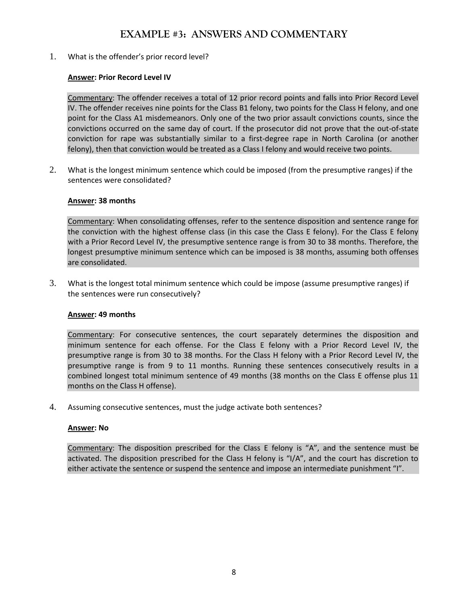## **EXAMPLE #3: ANSWERS AND COMMENTARY**

1. What is the offender's prior record level?

## **Answer: Prior Record Level IV**

Commentary: The offender receives a total of 12 prior record points and falls into Prior Record Level IV. The offender receives nine points for the Class B1 felony, two points for the Class H felony, and one point for the Class A1 misdemeanors. Only one of the two prior assault convictions counts, since the convictions occurred on the same day of court. If the prosecutor did not prove that the out-of-state conviction for rape was substantially similar to a first-degree rape in North Carolina (or another felony), then that conviction would be treated as a Class I felony and would receive two points.

2. What is the longest minimum sentence which could be imposed (from the presumptive ranges) if the sentences were consolidated?

### **Answer: 38 months**

Commentary: When consolidating offenses, refer to the sentence disposition and sentence range for the conviction with the highest offense class (in this case the Class E felony). For the Class E felony with a Prior Record Level IV, the presumptive sentence range is from 30 to 38 months. Therefore, the longest presumptive minimum sentence which can be imposed is 38 months, assuming both offenses are consolidated.

3. What is the longest total minimum sentence which could be impose (assume presumptive ranges) if the sentences were run consecutively?

### **Answer: 49 months**

Commentary: For consecutive sentences, the court separately determines the disposition and minimum sentence for each offense. For the Class E felony with a Prior Record Level IV, the presumptive range is from 30 to 38 months. For the Class H felony with a Prior Record Level IV, the presumptive range is from 9 to 11 months. Running these sentences consecutively results in a combined longest total minimum sentence of 49 months (38 months on the Class E offense plus 11 months on the Class H offense).

4. Assuming consecutive sentences, must the judge activate both sentences?

### **Answer: No**

Commentary: The disposition prescribed for the Class E felony is "A", and the sentence must be activated. The disposition prescribed for the Class H felony is "I/A", and the court has discretion to either activate the sentence or suspend the sentence and impose an intermediate punishment "I".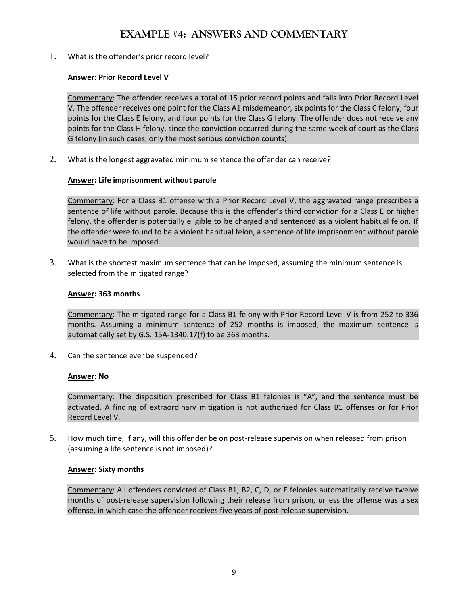## **EXAMPLE #4: ANSWERS AND COMMENTARY**

1. What is the offender's prior record level?

## **Answer: Prior Record Level V**

Commentary: The offender receives a total of 15 prior record points and falls into Prior Record Level V. The offender receives one point for the Class A1 misdemeanor, six points for the Class C felony, four points for the Class E felony, and four points for the Class G felony. The offender does not receive any points for the Class H felony, since the conviction occurred during the same week of court as the Class G felony (in such cases, only the most serious conviction counts).

2. What is the longest aggravated minimum sentence the offender can receive?

## **Answer: Life imprisonment without parole**

Commentary: For a Class B1 offense with a Prior Record Level V, the aggravated range prescribes a sentence of life without parole. Because this is the offender's third conviction for a Class E or higher felony, the offender is potentially eligible to be charged and sentenced as a violent habitual felon. If the offender were found to be a violent habitual felon, a sentence of life imprisonment without parole would have to be imposed.

3. What is the shortest maximum sentence that can be imposed, assuming the minimum sentence is selected from the mitigated range?

### **Answer: 363 months**

Commentary: The mitigated range for a Class B1 felony with Prior Record Level V is from 252 to 336 months. Assuming a minimum sentence of 252 months is imposed, the maximum sentence is automatically set by G.S. 15A-1340.17(f) to be 363 months.

4. Can the sentence ever be suspended?

### **Answer: No**

Commentary: The disposition prescribed for Class B1 felonies is "A", and the sentence must be activated. A finding of extraordinary mitigation is not authorized for Class B1 offenses or for Prior Record Level V.

5. How much time, if any, will this offender be on post-release supervision when released from prison (assuming a life sentence is not imposed)?

### **Answer: Sixty months**

Commentary: All offenders convicted of Class B1, B2, C, D, or E felonies automatically receive twelve months of post-release supervision following their release from prison, unless the offense was a sex offense, in which case the offender receives five years of post-release supervision.